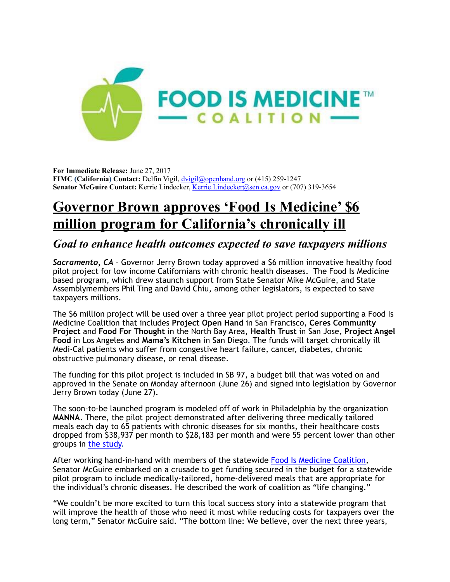

**For Immediate Release:** June 27, 2017 **FIMC (California) Contact:** Delfin Vigil, [dvigil@openhand.org](mailto:dvigil@openhand.org) or (415) 259-1247 **Senator McGuire Contact:** Kerrie Lindecker, [Kerrie.Lindecker@sen.ca.gov](mailto:Kerrie.Lindecker@sen.ca.gov) or (707) 319-3654

# **Governor Brown approves 'Food Is Medicine' \$6 million program for California's chronically ill**

# *Goal to enhance health outcomes expected to save taxpayers millions*

*Sacramento, CA* – Governor Jerry Brown today approved a \$6 million innovative healthy food pilot project for low income Californians with chronic health diseases. The Food Is Medicine based program, which drew staunch support from State Senator Mike McGuire, and State Assemblymembers Phil Ting and David Chiu, among other legislators, is expected to save taxpayers millions.

The \$6 million project will be used over a three year pilot project period supporting a Food Is Medicine Coalition that includes **Project Open Hand** in San Francisco, **Ceres Community Project** and **Food For Thought** in the North Bay Area, **Health Trust** in San Jose, **Project Angel Food** in Los Angeles and **Mama's Kitchen** in San Diego. The funds will target chronically ill Medi-Cal patients who suffer from congestive heart failure, cancer, diabetes, chronic obstructive pulmonary disease, or renal disease.

The funding for this pilot project is included in SB 97, a budget bill that was voted on and approved in the Senate on Monday afternoon (June 26) and signed into legislation by Governor Jerry Brown today (June 27).

The soon-to-be launched program is modeled off of work in Philadelphia by the organization **MANNA**. There, the pilot project demonstrated after delivering three medically tailored meals each day to 65 patients with chronic diseases for six months, their healthcare costs dropped from \$38,937 per month to \$28,183 per month and were 55 percent lower than other groups in [the study.](http://www.mannapa.org/wp-content/uploads/2014/07/MANNA-Study.pdf)

After working hand-in-hand with members of the statewide [Food Is Medicine Coalition,](http://www.fimcoalition.org/) Senator McGuire embarked on a crusade to get funding secured in the budget for a statewide pilot program to include medically-tailored, home-delivered meals that are appropriate for the individual's chronic diseases. He described the work of coalition as "life changing."

"We couldn't be more excited to turn this local success story into a statewide program that will improve the health of those who need it most while reducing costs for taxpayers over the long term," Senator McGuire said. "The bottom line: We believe, over the next three years,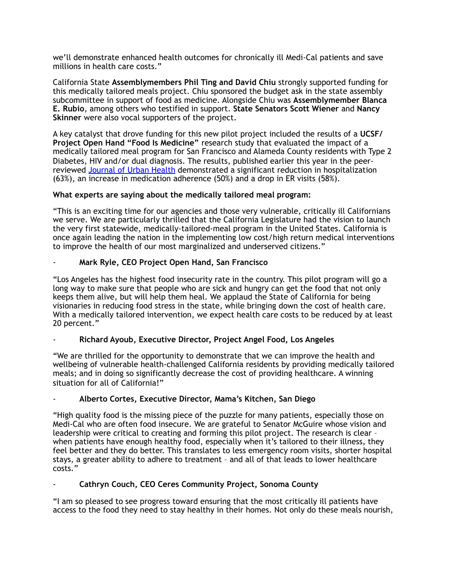we'll demonstrate enhanced health outcomes for chronically ill Medi-Cal patients and save millions in health care costs."

California State **Assemblymembers Phil Ting and David Chiu** strongly supported funding for this medically tailored meals project. Chiu sponsored the budget ask in the state assembly subcommittee in support of food as medicine. Alongside Chiu was **Assemblymember Blanca E. Rubio**, among others who testified in support. **State Senators Scott Wiener** and **Nancy Skinner** were also vocal supporters of the project.

A key catalyst that drove funding for this new pilot project included the results of a **UCSF/ Project Open Hand "Food Is Medicine"** research study that evaluated the impact of a medically tailored meal program for San Francisco and Alameda County residents with Type 2 Diabetes, HIV and/or dual diagnosis. The results, published earlier this year in the peerreviewed [Journal of Urban Health](https://link.springer.com/article/10.1007/s11524-016-0129-7) demonstrated a significant reduction in hospitalization (63%), an increase in medication adherence (50%) and a drop in ER visits (58%).

## **What experts are saying about the medically tailored meal program:**

"This is an exciting time for our agencies and those very vulnerable, critically ill Californians we serve. We are particularly thrilled that the California Legislature had the vision to launch the very first statewide, medically-tailored-meal program in the United States. California is once again leading the nation in the implementing low cost/high return medical interventions to improve the health of our most marginalized and underserved citizens."

## - **Mark Ryle, CEO Project Open Hand, San Francisco**

"Los Angeles has the highest food insecurity rate in the country. This pilot program will go a long way to make sure that people who are sick and hungry can get the food that not only keeps them alive, but will help them heal. We applaud the State of California for being visionaries in reducing food stress in the state, while bringing down the cost of health care. With a medically tailored intervention, we expect health care costs to be reduced by at least 20 percent."

#### - **Richard Ayoub, Executive Director, Project Angel Food, Los Angeles**

"We are thrilled for the opportunity to demonstrate that we can improve the health and wellbeing of vulnerable health-challenged California residents by providing medically tailored meals; and in doing so significantly decrease the cost of providing healthcare. A winning situation for all of California!"

#### - **Alberto Cortes, Executive Director, Mama's Kitchen, San Diego**

"High quality food is the missing piece of the puzzle for many patients, especially those on Medi-Cal who are often food insecure. We are grateful to Senator McGuire whose vision and leadership were critical to creating and forming this pilot project. The research is clear – when patients have enough healthy food, especially when it's tailored to their illness, they feel better and they do better. This translates to less emergency room visits, shorter hospital stays, a greater ability to adhere to treatment – and all of that leads to lower healthcare costs."

#### - **Cathryn Couch, CEO Ceres Community Project, Sonoma County**

"I am so pleased to see progress toward ensuring that the most critically ill patients have access to the food they need to stay healthy in their homes. Not only do these meals nourish,